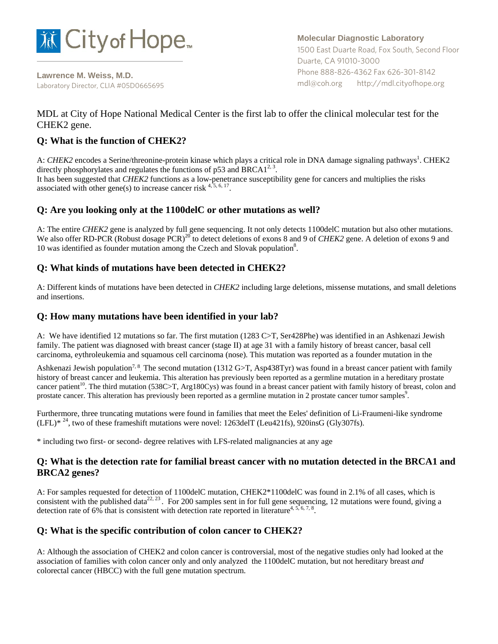

**Lawrence M. Weiss, M.D.** Laboratory Director, CLIA #05D0665695 **Molecular Diagnostic Laboratory** 1500 East Duarte Road, Fox South, Second Floor Duarte, CA 91010-3000 Phone 888-826-4362 Fax 626-301-8142 mdl@coh.org http://mdl.cityofhope.org

# MDL at City of Hope National Medical Center is the first lab to offer the clinical molecular test for the CHEK2 gene.

# **Q: What is the function of CHEK2?**

A: CHEK2 encodes a Serine/threonine-protein kinase which plays a critical role in DNA damage signaling pathways<sup>1</sup>. CHEK2 directly phosphorylates and regulates the functions of p53 and BRCA1<sup>2, 3</sup>. It has been suggested that *CHEK2* functions as a low-penetrance susceptibility gene for cancers and multiplies the risks

associated with other gene(s) to increase cancer risk  $4, 5, 6, 17$ .

### **Q: Are you looking only at the 1100delC or other mutations as well?**

A: The entire *CHEK2* gene is analyzed by full gene sequencing. It not only detects 1100delC mutation but also other mutations. We also offer RD-PCR (Robust dosage PCR)<sup>20</sup> to detect deletions of exons 8 and 9 of *CHEK2* gene. A deletion of exons 9 and 10 was identified as founder mutation among the Czech and Slovak population<sup>8</sup>.

## **Q: What kinds of mutations have been detected in CHEK2?**

A: Different kinds of mutations have been detected in *CHEK2* including large deletions, missense mutations, and small deletions and insertions.

### **Q: How many mutations have been identified in your lab?**

A: We have identified 12 mutations so far. The first mutation (1283 C>T, Ser428Phe) was identified in an Ashkenazi Jewish family. The patient was diagnosed with breast cancer (stage II) at age 31 with a family history of breast cancer, basal cell carcinoma, eythroleukemia and squamous cell carcinoma (nose). This mutation was reported as a founder mutation in the

Ashkenazi Jewish population<sup>7, 8</sup> The second mutation (1312 G>T, Asp438Tyr) was found in a breast cancer patient with family history of breast cancer and leukemia. This alteration has previously been reported as a germline mutation in a hereditary prostate cancer patient<sup>10</sup>. The third mutation (538C>T, Arg180Cys) was found in a breast cancer patient with family history of breast, colon and prostate cancer. This alteration has previously been reported as a germline mutation in 2 prostate cancer tumor samples.

Furthermore, three truncating mutations were found in families that meet the Eeles' definition of Li-Fraumeni-like syndrome  $(LFL)*<sup>24</sup>$ , two of these frameshift mutations were novel: 1263delT (Leu421fs), 920insG (Gly307fs).

\* including two first- or second- degree relatives with LFS-related malignancies at any age

### **Q: What is the detection rate for familial breast cancer with no mutation detected in the BRCA1 and BRCA2 genes?**

A: For samples requested for detection of 1100delC mutation, CHEK2\*1100delC was found in 2.1% of all cases, which is consistent with the published data<sup>22, 23</sup>. For 200 samples sent in for full gene sequencing, 12 mutations were found, giving a detection rate of 6% that is consistent with detection rate reported in literature<sup>4, 5, 6, 7, 8</sup>.

### **Q: What is the specific contribution of colon cancer to CHEK2?**

A: Although the association of CHEK2 and colon cancer is controversial, most of the negative studies only had looked at the association of families with colon cancer only and only analyzed the 1100delC mutation, but not hereditary breast *and*  colorectal cancer (HBCC) with the full gene mutation spectrum.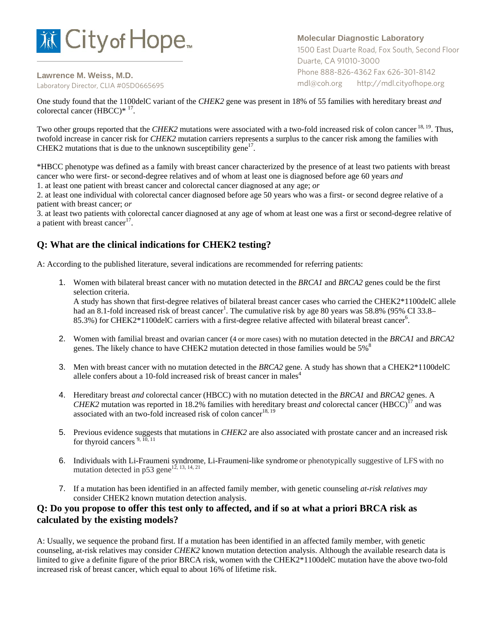

**Lawrence M. Weiss, M.D.** Laboratory Director, CLIA #05D0665695

### **Molecular Diagnostic Laboratory**

1500 East Duarte Road, Fox South, Second Floor Duarte, CA 91010-3000 Phone 888-826-4362 Fax 626-301-8142 mdl@coh.org http://mdl.cityofhope.org

One study found that the 1100delC variant of the *CHEK2* gene was present in 18% of 55 families with hereditary breast *and*  colorectal cancer (HBCC)\*  $17$ .

Two other groups reported that the *CHEK2* mutations were associated with a two-fold increased risk of colon cancer <sup>18, 19</sup>. Thus, twofold increase in cancer risk for *CHEK2* mutation carriers represents a surplus to the cancer risk among the families with CHEK2 mutations that is due to the unknown susceptibility gene<sup>17</sup>.

\*HBCC phenotype was defined as a family with breast cancer characterized by the presence of at least two patients with breast cancer who were first- or second-degree relatives and of whom at least one is diagnosed before age 60 years *and*

1. at least one patient with breast cancer and colorectal cancer diagnosed at any age; *or*

2. at least one individual with colorectal cancer diagnosed before age 50 years who was a first- or second degree relative of a patient with breast cancer; *or*

3. at least two patients with colorectal cancer diagnosed at any age of whom at least one was a first or second-degree relative of a patient with breast cancer<sup>17</sup>.

# **Q: What are the clinical indications for CHEK2 testing?**

A: According to the published literature, several indications are recommended for referring patients:

1. Women with bilateral breast cancer with no mutation detected in the *BRCA1* and *BRCA2* genes could be the first selection criteria.

A study has shown that first-degree relatives of bilateral breast cancer cases who carried the CHEK2\*1100delC allele had an 8.1-fold increased risk of breast cancer<sup>1</sup>. The cumulative risk by age 80 years was 58.8% (95% CI 33.8– 85.3%) for CHEK2\*1100delC carriers with a first-degree relative affected with bilateral breast cancer<sup>6</sup>.

- 2. Women with familial breast and ovarian cancer (4 or more cases) with no mutation detected in the *BRCA1* and *BRCA2*  genes. The likely chance to have CHEK2 mutation detected in those families would be  $5\%$ <sup>8</sup>
- 3. Men with breast cancer with no mutation detected in the *BRCA2* gene. A study has shown that a CHEK2\*1100delC allele confers about a 10-fold increased risk of breast cancer in males<sup>4</sup>
- 4. Hereditary breast *and* colorectal cancer (HBCC) with no mutation detected in the *BRCA1* and *BRCA2* genes. A *CHEK2* mutation was reported in 18.2% families with hereditary breast *and* colorectal cancer (HBCC)<sup>17</sup> and was associated with an two-fold increased risk of colon cancer<sup>18, 19</sup>
- 5. Previous evidence suggests that mutations in *CHEK2* are also associated with prostate cancer and an increased risk for thyroid cancers<sup>9, 10, 11</sup>
- 6. Individuals with Li-Fraumeni syndrome, Li-Fraumeni-like syndrome or phenotypically suggestive of LFS with no mutation detected in p53 gene<sup>12, 13, 14, 21</sup>
- 7. If a mutation has been identified in an affected family member*,* with genetic counseling *at-risk relatives may*  consider CHEK2 known mutation detection analysis.

### **Q: Do you propose to offer this test only to affected, and if so at what a priori BRCA risk as calculated by the existing models?**

A: Usually, we sequence the proband first. If a mutation has been identified in an affected family member, with genetic counseling, at-risk relatives may consider *CHEK2* known mutation detection analysis. Although the available research data is limited to give a definite figure of the prior BRCA risk, women with the CHEK2\*1100delC mutation have the above two-fold increased risk of breast cancer, which equal to about 16% of lifetime risk.